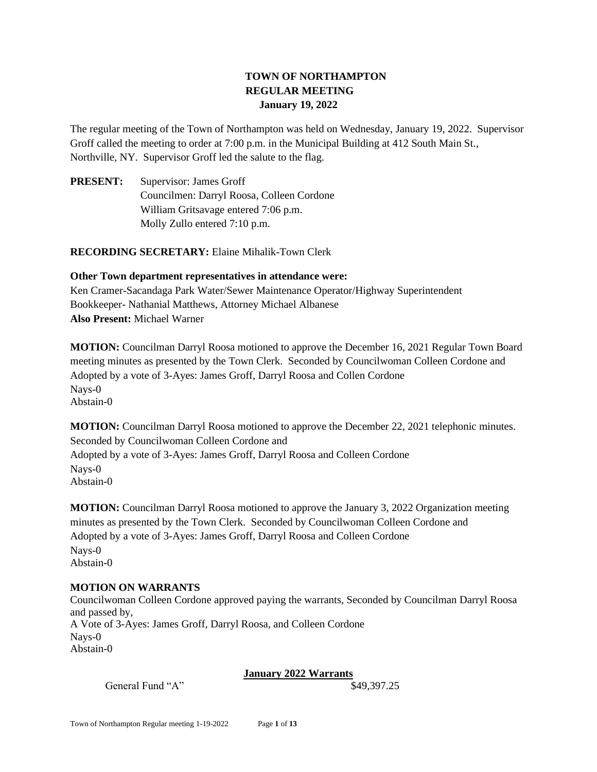# **TOWN OF NORTHAMPTON REGULAR MEETING January 19, 2022**

The regular meeting of the Town of Northampton was held on Wednesday, January 19, 2022. Supervisor Groff called the meeting to order at 7:00 p.m. in the Municipal Building at 412 South Main St., Northville, NY. Supervisor Groff led the salute to the flag.

**PRESENT:** Supervisor: James Groff Councilmen: Darryl Roosa, Colleen Cordone William Gritsavage entered 7:06 p.m. Molly Zullo entered 7:10 p.m.

**RECORDING SECRETARY:** Elaine Mihalik-Town Clerk

**Other Town department representatives in attendance were:**  Ken Cramer-Sacandaga Park Water/Sewer Maintenance Operator/Highway Superintendent Bookkeeper- Nathanial Matthews, Attorney Michael Albanese **Also Present:** Michael Warner

**MOTION:** Councilman Darryl Roosa motioned to approve the December 16, 2021 Regular Town Board meeting minutes as presented by the Town Clerk. Seconded by Councilwoman Colleen Cordone and Adopted by a vote of 3-Ayes: James Groff, Darryl Roosa and Collen Cordone Nays-0 Abstain-0

**MOTION:** Councilman Darryl Roosa motioned to approve the December 22, 2021 telephonic minutes. Seconded by Councilwoman Colleen Cordone and Adopted by a vote of 3-Ayes: James Groff, Darryl Roosa and Colleen Cordone Nays-0 Abstain-0

**MOTION:** Councilman Darryl Roosa motioned to approve the January 3, 2022 Organization meeting minutes as presented by the Town Clerk. Seconded by Councilwoman Colleen Cordone and Adopted by a vote of 3-Ayes: James Groff, Darryl Roosa and Colleen Cordone Nays-0 Abstain-0

### **MOTION ON WARRANTS**

Councilwoman Colleen Cordone approved paying the warrants, Seconded by Councilman Darryl Roosa and passed by, A Vote of 3-Ayes: James Groff, Darryl Roosa, and Colleen Cordone Nays-0 Abstain-0

# **January 2022 Warrants**

General Fund "A"  $\$49,397.25$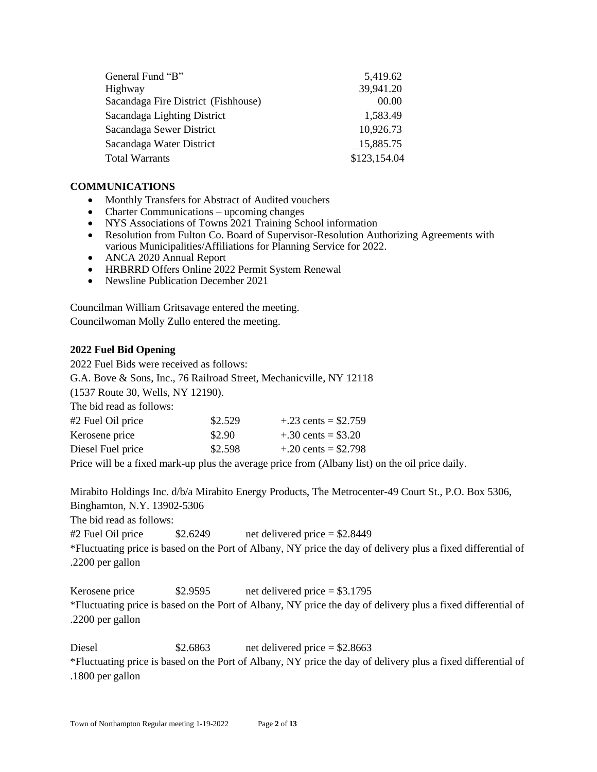| General Fund "B"                    | 5,419.62     |  |
|-------------------------------------|--------------|--|
| Highway                             | 39,941.20    |  |
| Sacandaga Fire District (Fishhouse) | 00.00        |  |
| Sacandaga Lighting District         | 1,583.49     |  |
| Sacandaga Sewer District            | 10,926.73    |  |
| Sacandaga Water District            | 15,885.75    |  |
| <b>Total Warrants</b>               | \$123,154.04 |  |

#### **COMMUNICATIONS**

- Monthly Transfers for Abstract of Audited vouchers
- Charter Communications upcoming changes
- NYS Associations of Towns 2021 Training School information
- Resolution from Fulton Co. Board of Supervisor-Resolution Authorizing Agreements with various Municipalities/Affiliations for Planning Service for 2022.
- ANCA 2020 Annual Report
- HRBRRD Offers Online 2022 Permit System Renewal
- Newsline Publication December 2021

Councilman William Gritsavage entered the meeting. Councilwoman Molly Zullo entered the meeting.

### **2022 Fuel Bid Opening**

2022 Fuel Bids were received as follows: G.A. Bove & Sons, Inc., 76 Railroad Street, Mechanicville, NY 12118 (1537 Route 30, Wells, NY 12190). The bid read as follows: #2 Fuel Oil price  $$2.529 + .23 \text{ cents} = $2.759$ Kerosene price  $$2.90 + .30 \text{ cents} = $3.20$ Diesel Fuel price  $$2.598 + .20 \text{ cents} = $2.798$ 

Price will be a fixed mark-up plus the average price from (Albany list) on the oil price daily.

Mirabito Holdings Inc. d/b/a Mirabito Energy Products, The Metrocenter-49 Court St., P.O. Box 5306, Binghamton, N.Y. 13902-5306

The bid read as follows:

 $\#2$  Fuel Oil price  $\$2.6249$  net delivered price = \$2.8449 \*Fluctuating price is based on the Port of Albany, NY price the day of delivery plus a fixed differential of .2200 per gallon

Kerosene price  $$2.9595$  net delivered price  $= $3.1795$ \*Fluctuating price is based on the Port of Albany, NY price the day of delivery plus a fixed differential of .2200 per gallon

Diesel \$2.6863 net delivered price = \$2.8663 \*Fluctuating price is based on the Port of Albany, NY price the day of delivery plus a fixed differential of .1800 per gallon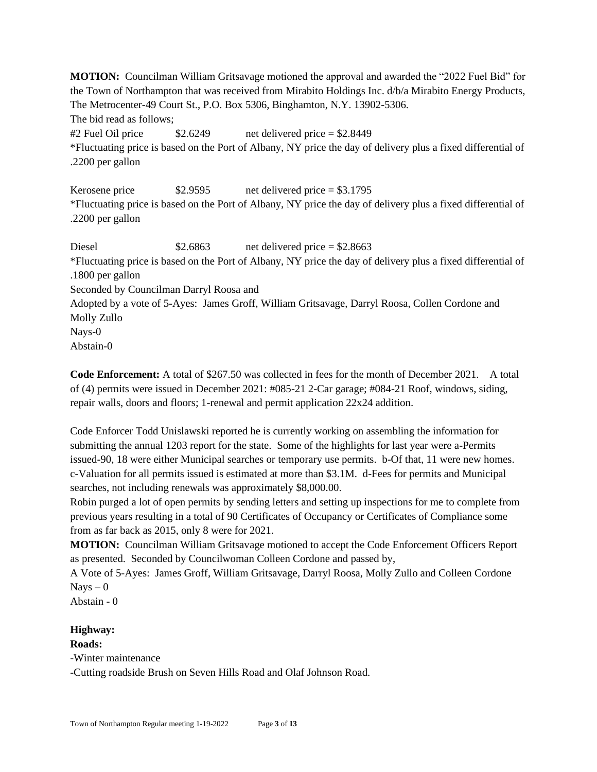**MOTION:** Councilman William Gritsavage motioned the approval and awarded the "2022 Fuel Bid" for the Town of Northampton that was received from Mirabito Holdings Inc. d/b/a Mirabito Energy Products, The Metrocenter-49 Court St., P.O. Box 5306, Binghamton, N.Y. 13902-5306.

The bid read as follows;

#2 Fuel Oil price  $$2.6249$  net delivered price  $= $2.8449$ \*Fluctuating price is based on the Port of Albany, NY price the day of delivery plus a fixed differential of .2200 per gallon

Kerosene price  $$2.9595$  net delivered price  $= $3.1795$ \*Fluctuating price is based on the Port of Albany, NY price the day of delivery plus a fixed differential of .2200 per gallon

Diesel  $$2.6863$  net delivered price  $= $2.8663$ \*Fluctuating price is based on the Port of Albany, NY price the day of delivery plus a fixed differential of .1800 per gallon Seconded by Councilman Darryl Roosa and Adopted by a vote of 5-Ayes: James Groff, William Gritsavage, Darryl Roosa, Collen Cordone and Molly Zullo Nays-0 Abstain-0

**Code Enforcement:** A total of \$267.50 was collected in fees for the month of December 2021. A total of (4) permits were issued in December 2021: #085-21 2-Car garage; #084-21 Roof, windows, siding, repair walls, doors and floors; 1-renewal and permit application 22x24 addition.

Code Enforcer Todd Unislawski reported he is currently working on assembling the information for submitting the annual 1203 report for the state. Some of the highlights for last year were a-Permits issued-90, 18 were either Municipal searches or temporary use permits. b-Of that, 11 were new homes. c-Valuation for all permits issued is estimated at more than \$3.1M. d-Fees for permits and Municipal searches, not including renewals was approximately \$8,000.00.

Robin purged a lot of open permits by sending letters and setting up inspections for me to complete from previous years resulting in a total of 90 Certificates of Occupancy or Certificates of Compliance some from as far back as 2015, only 8 were for 2021.

**MOTION:** Councilman William Gritsavage motioned to accept the Code Enforcement Officers Report as presented. Seconded by Councilwoman Colleen Cordone and passed by,

A Vote of 5-Ayes: James Groff, William Gritsavage, Darryl Roosa, Molly Zullo and Colleen Cordone  $N$ ays  $-0$ 

Abstain - 0

# **Highway:**

### **Roads:**

-Winter maintenance

-Cutting roadside Brush on Seven Hills Road and Olaf Johnson Road.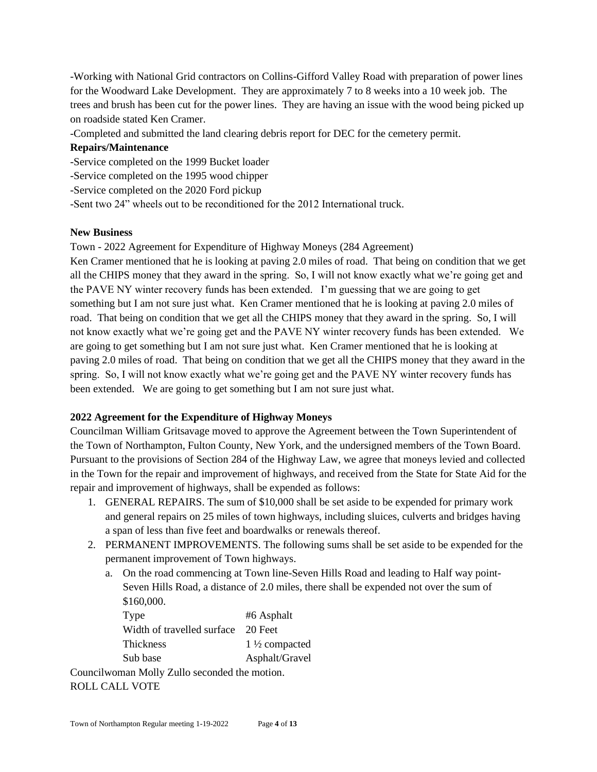-Working with National Grid contractors on Collins-Gifford Valley Road with preparation of power lines for the Woodward Lake Development. They are approximately 7 to 8 weeks into a 10 week job. The trees and brush has been cut for the power lines. They are having an issue with the wood being picked up on roadside stated Ken Cramer.

-Completed and submitted the land clearing debris report for DEC for the cemetery permit.

### **Repairs/Maintenance**

-Service completed on the 1999 Bucket loader

-Service completed on the 1995 wood chipper

-Service completed on the 2020 Ford pickup

-Sent two 24" wheels out to be reconditioned for the 2012 International truck.

### **New Business**

Town - 2022 Agreement for Expenditure of Highway Moneys (284 Agreement)

Ken Cramer mentioned that he is looking at paving 2.0 miles of road. That being on condition that we get all the CHIPS money that they award in the spring. So, I will not know exactly what we're going get and the PAVE NY winter recovery funds has been extended. I'm guessing that we are going to get something but I am not sure just what. Ken Cramer mentioned that he is looking at paving 2.0 miles of road. That being on condition that we get all the CHIPS money that they award in the spring. So, I will not know exactly what we're going get and the PAVE NY winter recovery funds has been extended. We are going to get something but I am not sure just what. Ken Cramer mentioned that he is looking at paving 2.0 miles of road. That being on condition that we get all the CHIPS money that they award in the spring. So, I will not know exactly what we're going get and the PAVE NY winter recovery funds has been extended. We are going to get something but I am not sure just what.

# **2022 Agreement for the Expenditure of Highway Moneys**

Councilman William Gritsavage moved to approve the Agreement between the Town Superintendent of the Town of Northampton, Fulton County, New York, and the undersigned members of the Town Board. Pursuant to the provisions of Section 284 of the Highway Law, we agree that moneys levied and collected in the Town for the repair and improvement of highways, and received from the State for State Aid for the repair and improvement of highways, shall be expended as follows:

- 1. GENERAL REPAIRS. The sum of \$10,000 shall be set aside to be expended for primary work and general repairs on 25 miles of town highways, including sluices, culverts and bridges having a span of less than five feet and boardwalks or renewals thereof.
- 2. PERMANENT IMPROVEMENTS. The following sums shall be set aside to be expended for the permanent improvement of Town highways.
	- a. On the road commencing at Town line-Seven Hills Road and leading to Half way point-Seven Hills Road, a distance of 2.0 miles, there shall be expended not over the sum of \$160,000.

| Type                                          | #6 Asphalt               |  |  |
|-----------------------------------------------|--------------------------|--|--|
| Width of travelled surface                    | - 20 Feet                |  |  |
| <b>Thickness</b>                              | $1\frac{1}{2}$ compacted |  |  |
| Sub base                                      | Asphalt/Gravel           |  |  |
| Councilwoman Molly Zullo seconded the motion. |                          |  |  |

ROLL CALL VOTE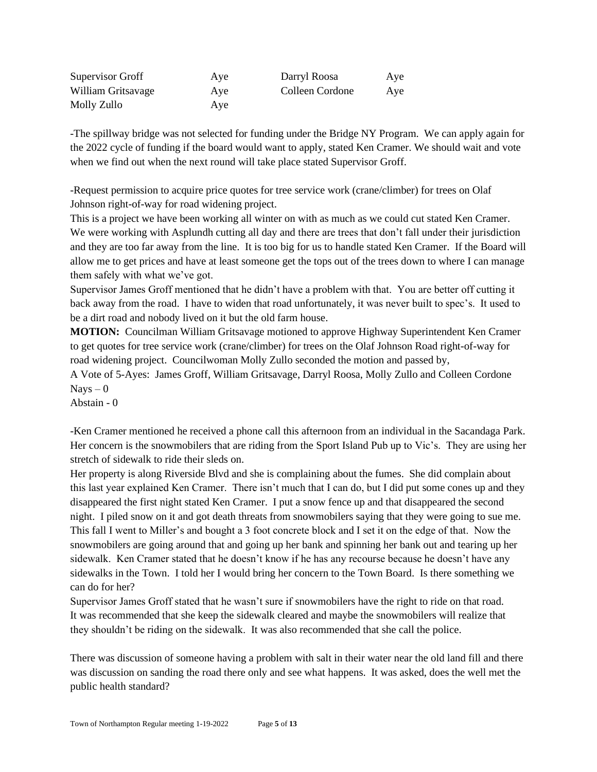| Supervisor Groff   | Aye | Darryl Roosa    | Aye |
|--------------------|-----|-----------------|-----|
| William Gritsavage | Aye | Colleen Cordone | Aye |
| Molly Zullo        | Ave |                 |     |

-The spillway bridge was not selected for funding under the Bridge NY Program. We can apply again for the 2022 cycle of funding if the board would want to apply, stated Ken Cramer. We should wait and vote when we find out when the next round will take place stated Supervisor Groff.

-Request permission to acquire price quotes for tree service work (crane/climber) for trees on Olaf Johnson right-of-way for road widening project.

This is a project we have been working all winter on with as much as we could cut stated Ken Cramer. We were working with Asplundh cutting all day and there are trees that don't fall under their jurisdiction and they are too far away from the line. It is too big for us to handle stated Ken Cramer. If the Board will allow me to get prices and have at least someone get the tops out of the trees down to where I can manage them safely with what we've got.

Supervisor James Groff mentioned that he didn't have a problem with that. You are better off cutting it back away from the road. I have to widen that road unfortunately, it was never built to spec's. It used to be a dirt road and nobody lived on it but the old farm house.

**MOTION:** Councilman William Gritsavage motioned to approve Highway Superintendent Ken Cramer to get quotes for tree service work (crane/climber) for trees on the Olaf Johnson Road right-of-way for road widening project. Councilwoman Molly Zullo seconded the motion and passed by, A Vote of 5-Ayes: James Groff, William Gritsavage, Darryl Roosa, Molly Zullo and Colleen Cordone

 $Nays - 0$ 

Abstain - 0

-Ken Cramer mentioned he received a phone call this afternoon from an individual in the Sacandaga Park. Her concern is the snowmobilers that are riding from the Sport Island Pub up to Vic's. They are using her stretch of sidewalk to ride their sleds on.

Her property is along Riverside Blvd and she is complaining about the fumes. She did complain about this last year explained Ken Cramer. There isn't much that I can do, but I did put some cones up and they disappeared the first night stated Ken Cramer. I put a snow fence up and that disappeared the second night. I piled snow on it and got death threats from snowmobilers saying that they were going to sue me. This fall I went to Miller's and bought a 3 foot concrete block and I set it on the edge of that. Now the snowmobilers are going around that and going up her bank and spinning her bank out and tearing up her sidewalk. Ken Cramer stated that he doesn't know if he has any recourse because he doesn't have any sidewalks in the Town. I told her I would bring her concern to the Town Board. Is there something we can do for her?

Supervisor James Groff stated that he wasn't sure if snowmobilers have the right to ride on that road. It was recommended that she keep the sidewalk cleared and maybe the snowmobilers will realize that they shouldn't be riding on the sidewalk. It was also recommended that she call the police.

There was discussion of someone having a problem with salt in their water near the old land fill and there was discussion on sanding the road there only and see what happens. It was asked, does the well met the public health standard?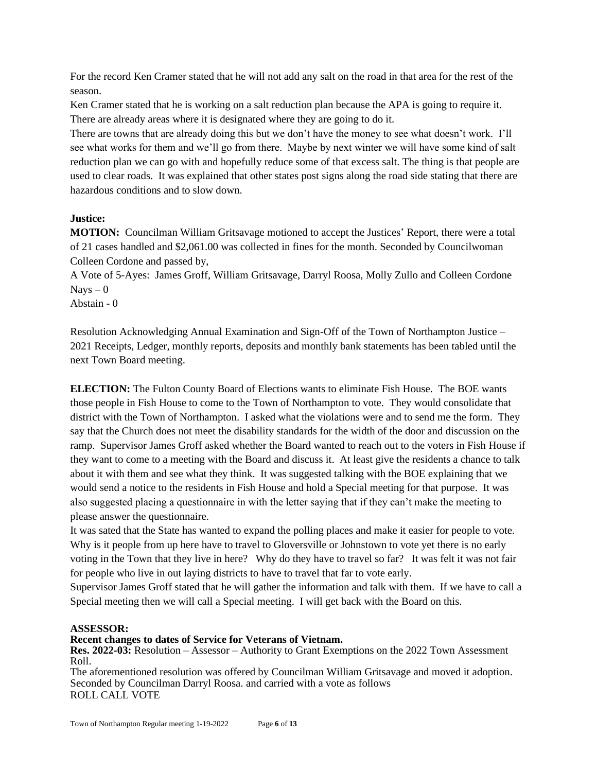For the record Ken Cramer stated that he will not add any salt on the road in that area for the rest of the season.

Ken Cramer stated that he is working on a salt reduction plan because the APA is going to require it. There are already areas where it is designated where they are going to do it.

There are towns that are already doing this but we don't have the money to see what doesn't work. I'll see what works for them and we'll go from there. Maybe by next winter we will have some kind of salt reduction plan we can go with and hopefully reduce some of that excess salt. The thing is that people are used to clear roads. It was explained that other states post signs along the road side stating that there are hazardous conditions and to slow down.

## **Justice:**

**MOTION:** Councilman William Gritsavage motioned to accept the Justices' Report, there were a total of 21 cases handled and \$2,061.00 was collected in fines for the month. Seconded by Councilwoman Colleen Cordone and passed by,

A Vote of 5-Ayes: James Groff, William Gritsavage, Darryl Roosa, Molly Zullo and Colleen Cordone  $Nays - 0$ 

Abstain - 0

Resolution Acknowledging Annual Examination and Sign-Off of the Town of Northampton Justice – 2021 Receipts, Ledger, monthly reports, deposits and monthly bank statements has been tabled until the next Town Board meeting.

**ELECTION:** The Fulton County Board of Elections wants to eliminate Fish House. The BOE wants those people in Fish House to come to the Town of Northampton to vote. They would consolidate that district with the Town of Northampton. I asked what the violations were and to send me the form. They say that the Church does not meet the disability standards for the width of the door and discussion on the ramp. Supervisor James Groff asked whether the Board wanted to reach out to the voters in Fish House if they want to come to a meeting with the Board and discuss it. At least give the residents a chance to talk about it with them and see what they think. It was suggested talking with the BOE explaining that we would send a notice to the residents in Fish House and hold a Special meeting for that purpose. It was also suggested placing a questionnaire in with the letter saying that if they can't make the meeting to please answer the questionnaire.

It was sated that the State has wanted to expand the polling places and make it easier for people to vote. Why is it people from up here have to travel to Gloversville or Johnstown to vote yet there is no early voting in the Town that they live in here? Why do they have to travel so far? It was felt it was not fair for people who live in out laying districts to have to travel that far to vote early.

Supervisor James Groff stated that he will gather the information and talk with them. If we have to call a Special meeting then we will call a Special meeting. I will get back with the Board on this.

### **ASSESSOR:**

**Recent changes to dates of Service for Veterans of Vietnam.**

**Res. 2022-03:** Resolution – Assessor – Authority to Grant Exemptions on the 2022 Town Assessment Roll.

The aforementioned resolution was offered by Councilman William Gritsavage and moved it adoption. Seconded by Councilman Darryl Roosa. and carried with a vote as follows ROLL CALL VOTE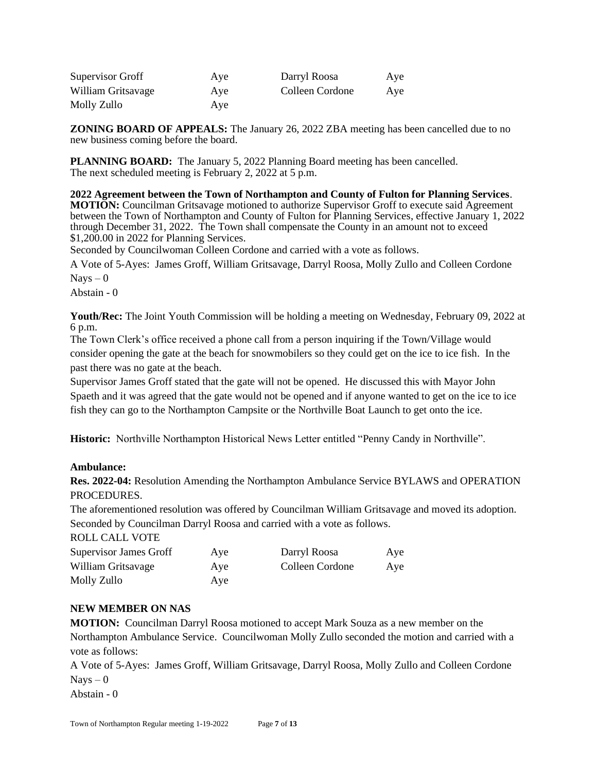| Supervisor Groff   | Aye | Darryl Roosa    | Aye |
|--------------------|-----|-----------------|-----|
| William Gritsavage | Aye | Colleen Cordone | Aye |
| Molly Zullo        | Aye |                 |     |

**ZONING BOARD OF APPEALS:** The January 26, 2022 ZBA meeting has been cancelled due to no new business coming before the board.

**PLANNING BOARD:** The January 5, 2022 Planning Board meeting has been cancelled. The next scheduled meeting is February 2, 2022 at 5 p.m.

**2022 Agreement between the Town of Northampton and County of Fulton for Planning Services**. **MOTION:** Councilman Gritsavage motioned to authorize Supervisor Groff to execute said Agreement between the Town of Northampton and County of Fulton for Planning Services, effective January 1, 2022 through December 31, 2022. The Town shall compensate the County in an amount not to exceed \$1,200.00 in 2022 for Planning Services.

Seconded by Councilwoman Colleen Cordone and carried with a vote as follows.

A Vote of 5-Ayes: James Groff, William Gritsavage, Darryl Roosa, Molly Zullo and Colleen Cordone  $Nays - 0$ 

Abstain - 0

**Youth/Rec:** The Joint Youth Commission will be holding a meeting on Wednesday, February 09, 2022 at 6 p.m.

The Town Clerk's office received a phone call from a person inquiring if the Town/Village would consider opening the gate at the beach for snowmobilers so they could get on the ice to ice fish. In the past there was no gate at the beach.

Supervisor James Groff stated that the gate will not be opened. He discussed this with Mayor John Spaeth and it was agreed that the gate would not be opened and if anyone wanted to get on the ice to ice fish they can go to the Northampton Campsite or the Northville Boat Launch to get onto the ice.

**Historic:** Northville Northampton Historical News Letter entitled "Penny Candy in Northville".

### **Ambulance:**

**Res. 2022-04:** Resolution Amending the Northampton Ambulance Service BYLAWS and OPERATION **PROCEDURES** 

The aforementioned resolution was offered by Councilman William Gritsavage and moved its adoption. Seconded by Councilman Darryl Roosa and carried with a vote as follows.

ROLL CALL VOTE

| <b>Supervisor James Groff</b> | Aye | Darryl Roosa    | Aye |
|-------------------------------|-----|-----------------|-----|
| William Gritsavage            | Aye | Colleen Cordone | Aye |
| Molly Zullo                   | Aye |                 |     |

### **NEW MEMBER ON NAS**

**MOTION:** Councilman Darryl Roosa motioned to accept Mark Souza as a new member on the Northampton Ambulance Service. Councilwoman Molly Zullo seconded the motion and carried with a vote as follows:

A Vote of 5-Ayes: James Groff, William Gritsavage, Darryl Roosa, Molly Zullo and Colleen Cordone  $Nays - 0$ 

Abstain - 0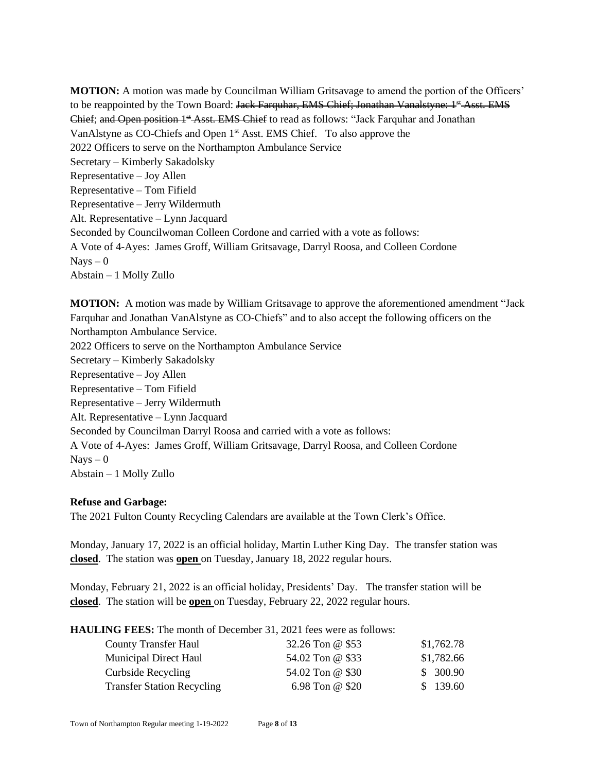**MOTION:** A motion was made by Councilman William Gritsavage to amend the portion of the Officers' to be reappointed by the Town Board: Jack Farquhar, EMS Chief; Jonathan Vanalstyne: 1<sup>st</sup> Asst. EMS Chief; and Open position 1<sup>st</sup> Asst. EMS Chief to read as follows: "Jack Farquhar and Jonathan VanAlstyne as CO-Chiefs and Open 1st Asst. EMS Chief. To also approve the 2022 Officers to serve on the Northampton Ambulance Service Secretary – Kimberly Sakadolsky Representative – Joy Allen Representative – Tom Fifield Representative – Jerry Wildermuth Alt. Representative – Lynn Jacquard Seconded by Councilwoman Colleen Cordone and carried with a vote as follows: A Vote of 4-Ayes: James Groff, William Gritsavage, Darryl Roosa, and Colleen Cordone  $Nays - 0$ Abstain – 1 Molly Zullo

**MOTION:** A motion was made by William Gritsavage to approve the aforementioned amendment "Jack Farquhar and Jonathan VanAlstyne as CO-Chiefs" and to also accept the following officers on the Northampton Ambulance Service. 2022 Officers to serve on the Northampton Ambulance Service Secretary – Kimberly Sakadolsky Representative – Joy Allen Representative – Tom Fifield Representative – Jerry Wildermuth Alt. Representative – Lynn Jacquard Seconded by Councilman Darryl Roosa and carried with a vote as follows: A Vote of 4-Ayes: James Groff, William Gritsavage, Darryl Roosa, and Colleen Cordone  $Nays - 0$ Abstain – 1 Molly Zullo

#### **Refuse and Garbage:**

The 2021 Fulton County Recycling Calendars are available at the Town Clerk's Office.

Monday, January 17, 2022 is an official holiday, Martin Luther King Day. The transfer station was **closed**. The station was **open** on Tuesday, January 18, 2022 regular hours.

Monday, February 21, 2022 is an official holiday, Presidents' Day. The transfer station will be **closed**. The station will be **open** on Tuesday, February 22, 2022 regular hours.

**HAULING FEES:** The month of December 31, 2021 fees were as follows:

| <b>County Transfer Haul</b>       | 32.26 Ton @ \$53 | \$1,762.78 |
|-----------------------------------|------------------|------------|
| <b>Municipal Direct Haul</b>      | 54.02 Ton @ \$33 | \$1,782.66 |
| Curbside Recycling                | 54.02 Ton @ \$30 | \$300.90   |
| <b>Transfer Station Recycling</b> | 6.98 Ton @ \$20  | \$139.60   |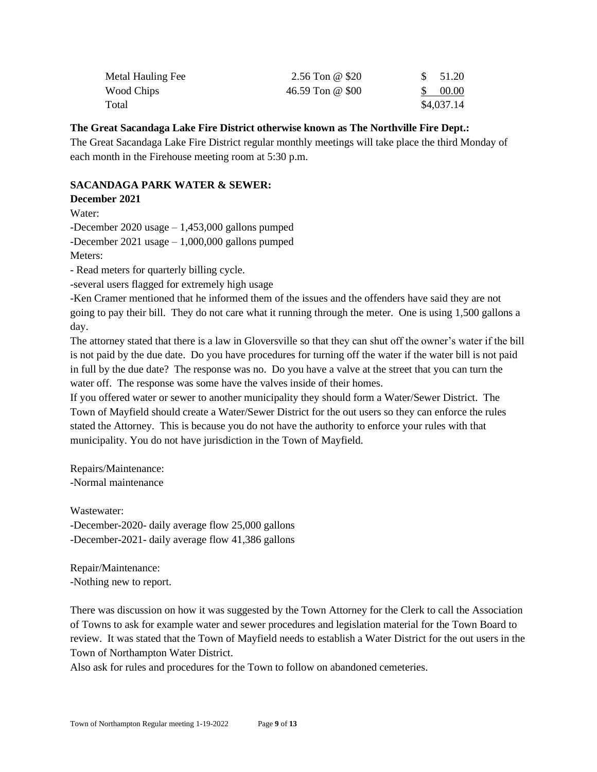| Metal Hauling Fee | 2.56 Ton @ $$20$ | <sup>S</sup> | 51.20      |
|-------------------|------------------|--------------|------------|
| Wood Chips        | 46.59 Ton @ \$00 | S.           | 00.00      |
| Total             |                  |              | \$4,037.14 |

### **The Great Sacandaga Lake Fire District otherwise known as The Northville Fire Dept.:**

The Great Sacandaga Lake Fire District regular monthly meetings will take place the third Monday of each month in the Firehouse meeting room at 5:30 p.m.

## **SACANDAGA PARK WATER & SEWER:**

### **December 2021**

Water:

-December 2020 usage – 1,453,000 gallons pumped

-December 2021 usage – 1,000,000 gallons pumped

Meters:

- Read meters for quarterly billing cycle.

-several users flagged for extremely high usage

-Ken Cramer mentioned that he informed them of the issues and the offenders have said they are not going to pay their bill. They do not care what it running through the meter. One is using 1,500 gallons a day.

The attorney stated that there is a law in Gloversville so that they can shut off the owner's water if the bill is not paid by the due date. Do you have procedures for turning off the water if the water bill is not paid in full by the due date? The response was no. Do you have a valve at the street that you can turn the water off. The response was some have the valves inside of their homes.

If you offered water or sewer to another municipality they should form a Water/Sewer District. The Town of Mayfield should create a Water/Sewer District for the out users so they can enforce the rules stated the Attorney. This is because you do not have the authority to enforce your rules with that municipality. You do not have jurisdiction in the Town of Mayfield.

Repairs/Maintenance: -Normal maintenance

Wastewater: -December-2020- daily average flow 25,000 gallons -December-2021- daily average flow 41,386 gallons

Repair/Maintenance: -Nothing new to report.

There was discussion on how it was suggested by the Town Attorney for the Clerk to call the Association of Towns to ask for example water and sewer procedures and legislation material for the Town Board to review. It was stated that the Town of Mayfield needs to establish a Water District for the out users in the Town of Northampton Water District.

Also ask for rules and procedures for the Town to follow on abandoned cemeteries.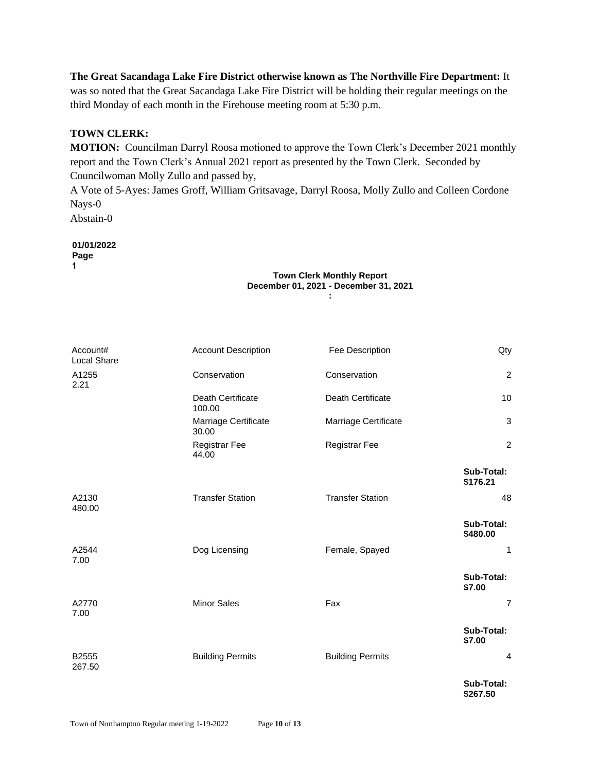**The Great Sacandaga Lake Fire District otherwise known as The Northville Fire Department:** It was so noted that the Great Sacandaga Lake Fire District will be holding their regular meetings on the third Monday of each month in the Firehouse meeting room at 5:30 p.m.

## **TOWN CLERK:**

**MOTION:** Councilman Darryl Roosa motioned to approve the Town Clerk's December 2021 monthly report and the Town Clerk's Annual 2021 report as presented by the Town Clerk. Seconded by Councilwoman Molly Zullo and passed by,

A Vote of 5-Ayes: James Groff, William Gritsavage, Darryl Roosa, Molly Zullo and Colleen Cordone Nays-0

Abstain-0

**01/01/2022 Page 1**

#### **Town Clerk Monthly Report December 01, 2021 - December 31, 2021 :**

| Account#<br>Local Share | <b>Account Description</b>         | Fee Description          | Qty                    |
|-------------------------|------------------------------------|--------------------------|------------------------|
| A1255<br>2.21           | Conservation                       | Conservation             | $\overline{c}$         |
|                         | <b>Death Certificate</b><br>100.00 | <b>Death Certificate</b> | 10                     |
|                         | Marriage Certificate<br>30.00      | Marriage Certificate     | $\mathbf{3}$           |
|                         | <b>Registrar Fee</b><br>44.00      | <b>Registrar Fee</b>     | $\overline{2}$         |
|                         |                                    |                          | Sub-Total:<br>\$176.21 |
| A2130<br>480.00         | <b>Transfer Station</b>            | <b>Transfer Station</b>  | 48                     |
|                         |                                    |                          | Sub-Total:<br>\$480.00 |
| A2544<br>7.00           | Dog Licensing                      | Female, Spayed           | 1                      |
|                         |                                    |                          | Sub-Total:<br>\$7.00   |
| A2770<br>7.00           | <b>Minor Sales</b>                 | Fax                      | $\overline{7}$         |
|                         |                                    |                          | Sub-Total:<br>\$7.00   |
| B2555<br>267.50         | <b>Building Permits</b>            | <b>Building Permits</b>  | $\overline{4}$         |
|                         |                                    |                          | Sub-Total:<br>\$267.50 |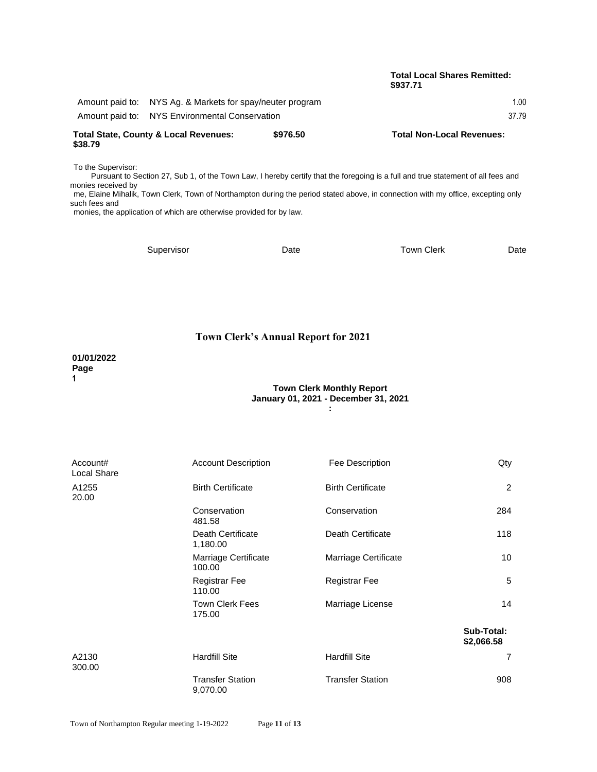#### **Total Local Shares Remitted: \$937.71**

| <b>Total State, County &amp; Local Revenues:</b><br>\$38.79 |                                                           | \$976.50 | <b>Total Non-Local Revenues:</b> |
|-------------------------------------------------------------|-----------------------------------------------------------|----------|----------------------------------|
|                                                             | Amount paid to: NYS Environmental Conservation            |          | 37.79                            |
|                                                             | Amount paid to: NYS Ag. & Markets for spay/neuter program |          | 1.00                             |

To the Supervisor:

Pursuant to Section 27, Sub 1, of the Town Law, I hereby certify that the foregoing is a full and true statement of all fees and monies received by me, Elaine Mihalik, Town Clerk, Town of Northampton during the period stated above, in connection with my office, excepting only

such fees and monies, the application of which are otherwise provided for by law.

Supervisor **Date** Date Town Clerk Date

#### **Town Clerk's Annual Report for 2021**

#### **01/01/2022 Page 1**

#### **Town Clerk Monthly Report January 01, 2021 - December 31, 2021 :**

Account# Account Description Fee Description Gty Local Share A1255 Birth Certificate Birth Certificate 2 20.00 Conservation Conservation 284 481.58 Death Certificate Death Certificate 118 1,180.00 Marriage Certificate **Marriage Certificate** 10 100.00 Registrar Fee 5 110.00 Town Clerk Fees **Marriage License** 14 175.00 **Sub-Total: \$2,066.58** A2130 **Hardfill Site 19 Hardfill Site 1 Hardfill Site** 7 300.00 Transfer Station Transfer Station 908 9,070.00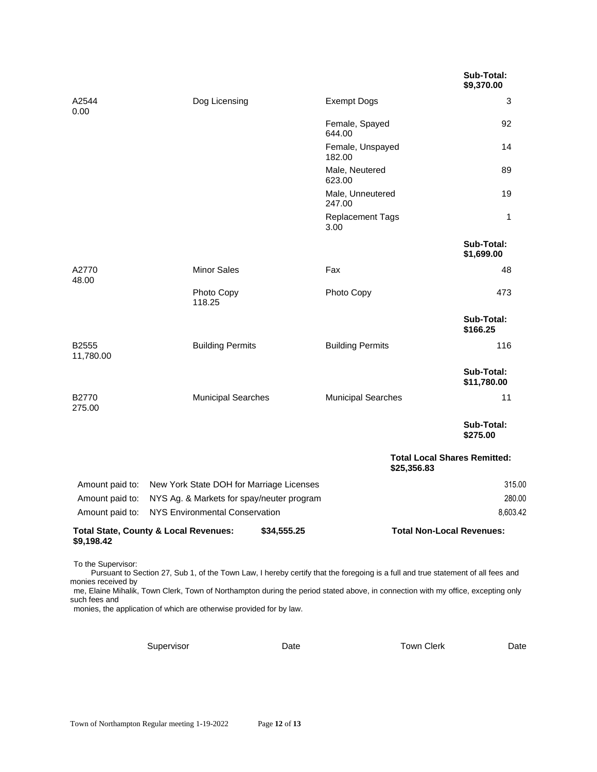|                                          |                                                          |             |                                                                                                                                                                                                                                                                      | Sub-Total:<br>\$9,370.00            |
|------------------------------------------|----------------------------------------------------------|-------------|----------------------------------------------------------------------------------------------------------------------------------------------------------------------------------------------------------------------------------------------------------------------|-------------------------------------|
| A2544<br>0.00                            | Dog Licensing                                            |             | <b>Exempt Dogs</b>                                                                                                                                                                                                                                                   | 3                                   |
|                                          |                                                          |             | Female, Spayed<br>644.00                                                                                                                                                                                                                                             | 92                                  |
|                                          |                                                          |             | Female, Unspayed<br>182.00                                                                                                                                                                                                                                           | 14                                  |
|                                          |                                                          |             | Male, Neutered<br>623.00                                                                                                                                                                                                                                             | 89                                  |
|                                          |                                                          |             | Male, Unneutered<br>247.00                                                                                                                                                                                                                                           | 19                                  |
|                                          |                                                          |             | <b>Replacement Tags</b><br>3.00                                                                                                                                                                                                                                      | 1                                   |
|                                          |                                                          |             |                                                                                                                                                                                                                                                                      | Sub-Total:<br>\$1,699.00            |
| A2770<br>48.00                           | <b>Minor Sales</b>                                       |             | Fax                                                                                                                                                                                                                                                                  | 48                                  |
|                                          | Photo Copy<br>118.25                                     |             | Photo Copy                                                                                                                                                                                                                                                           | 473                                 |
|                                          |                                                          |             |                                                                                                                                                                                                                                                                      | Sub-Total:<br>\$166.25              |
| B2555<br>11,780.00                       | <b>Building Permits</b>                                  |             | <b>Building Permits</b>                                                                                                                                                                                                                                              | 116                                 |
|                                          |                                                          |             |                                                                                                                                                                                                                                                                      | Sub-Total:<br>\$11,780.00           |
| B2770<br>275.00                          | <b>Municipal Searches</b>                                |             | <b>Municipal Searches</b>                                                                                                                                                                                                                                            | 11                                  |
|                                          |                                                          |             |                                                                                                                                                                                                                                                                      | Sub-Total:<br>\$275.00              |
|                                          |                                                          |             | \$25,356.83                                                                                                                                                                                                                                                          | <b>Total Local Shares Remitted:</b> |
|                                          | Amount paid to: New York State DOH for Marriage Licenses |             |                                                                                                                                                                                                                                                                      | 315.00                              |
| Amount paid to:                          | NYS Ag. & Markets for spay/neuter program                |             |                                                                                                                                                                                                                                                                      | 280.00                              |
|                                          | Amount paid to: NYS Environmental Conservation           |             |                                                                                                                                                                                                                                                                      | 8,603.42                            |
| \$9,198.42                               | <b>Total State, County &amp; Local Revenues:</b>         | \$34,555.25 |                                                                                                                                                                                                                                                                      | <b>Total Non-Local Revenues:</b>    |
| To the Supervisor:<br>monies received by |                                                          |             | Pursuant to Section 27, Sub 1, of the Town Law, I hereby certify that the foregoing is a full and true statement of all fees and<br>me, Elaine Mihalik, Town Clerk, Town of Northampton during the period stated above, in connection with my office, excepting only |                                     |

such fees and monies, the application of which are otherwise provided for by law.

Supervisor **Calcular Date** Date **Calcular Date** Town Clerk Date